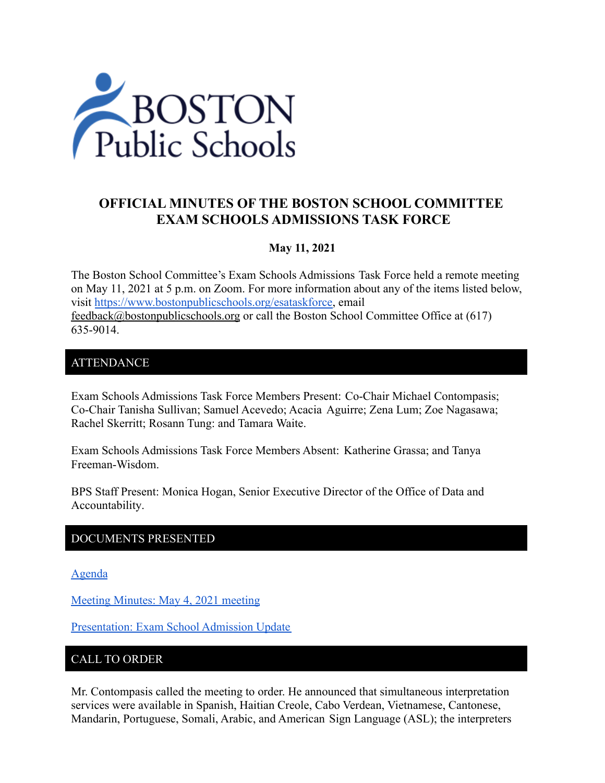

# **OFFICIAL MINUTES OF THE BOSTON SCHOOL COMMITTEE EXAM SCHOOLS ADMISSIONS TASK FORCE**

### **May 11, 2021**

The Boston School Committee's Exam Schools Admissions Task Force held a remote meeting on May 11, 2021 at 5 p.m. on Zoom. For more information about any of the items listed below, visit [https://www.bostonpublicschools.org/esataskforce,](https://www.bostonpublicschools.org/esataskforce) email [feedback@bostonpublicschools.org](mailto:feedback@bostonpublicschools.org) or call the Boston School Committee Office at (617) 635-9014.

### ATTENDANCE

Exam Schools Admissions Task Force Members Present: Co-Chair Michael Contompasis; Co-Chair Tanisha Sullivan; Samuel Acevedo; Acacia Aguirre; Zena Lum; Zoe Nagasawa; Rachel Skerritt; Rosann Tung: and Tamara Waite.

Exam Schools Admissions Task Force Members Absent: Katherine Grassa; and Tanya Freeman-Wisdom.

BPS Staff Present: Monica Hogan, Senior Executive Director of the Office of Data and Accountability.

### DOCUMENTS PRESENTED

[Agenda](https://www.boston.gov/public-notices/15058836)

[Meeting Minutes: May 4, 2021 meeting](https://www.bostonpublicschools.org/cms/lib/MA01906464/Centricity/Domain/2931/Minutes%205%2004%2021%20Exam%20School%20Admission%20TF%20Meeting.docx.pdf)

[Presentation: Exam School Admission Update](https://www.bostonpublicschools.org/cms/lib/MA01906464/Centricity/Domain/2931/Exam%20School%20Task%20Force%205%2011%2021.pdf)

### CALL TO ORDER

Mr. Contompasis called the meeting to order. He announced that simultaneous interpretation services were available in Spanish, Haitian Creole, Cabo Verdean, Vietnamese, Cantonese, Mandarin, Portuguese, Somali, Arabic, and American Sign Language (ASL); the interpreters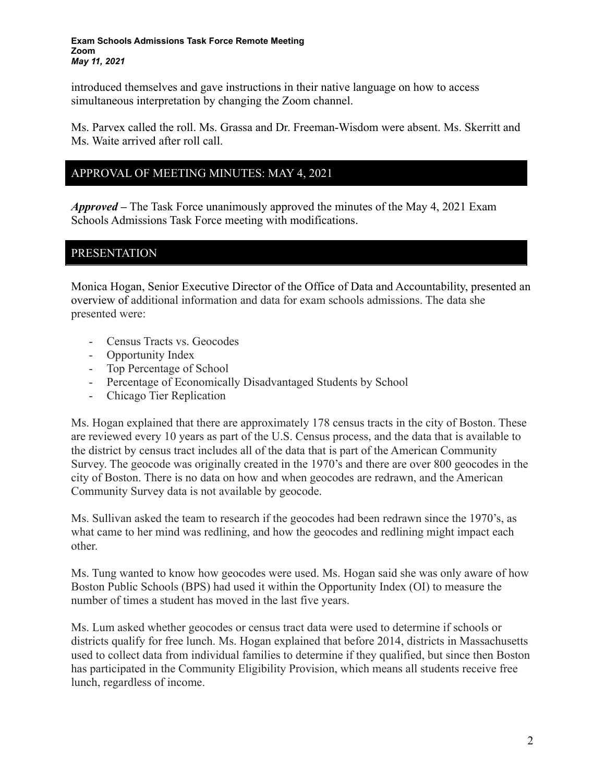introduced themselves and gave instructions in their native language on how to access simultaneous interpretation by changing the Zoom channel.

Ms. Parvex called the roll. Ms. Grassa and Dr. Freeman-Wisdom were absent. Ms. Skerritt and Ms. Waite arrived after roll call.

### APPROVAL OF MEETING MINUTES: MAY 4, 2021

*Approved –* The Task Force unanimously approved the minutes of the May 4, 2021 Exam Schools Admissions Task Force meeting with modifications.

### PRESENTATION

Monica Hogan, Senior Executive Director of the Office of Data and Accountability, presented an overview of additional information and data for exam schools admissions. The data she presented were:

- Census Tracts vs. Geocodes
- Opportunity Index
- Top Percentage of School
- Percentage of Economically Disadvantaged Students by School
- Chicago Tier Replication

Ms. Hogan explained that there are approximately 178 census tracts in the city of Boston. These are reviewed every 10 years as part of the U.S. Census process, and the data that is available to the district by census tract includes all of the data that is part of the American Community Survey. The geocode was originally created in the 1970's and there are over 800 geocodes in the city of Boston. There is no data on how and when geocodes are redrawn, and the American Community Survey data is not available by geocode.

Ms. Sullivan asked the team to research if the geocodes had been redrawn since the 1970's, as what came to her mind was redlining, and how the geocodes and redlining might impact each other.

Ms. Tung wanted to know how geocodes were used. Ms. Hogan said she was only aware of how Boston Public Schools (BPS) had used it within the Opportunity Index (OI) to measure the number of times a student has moved in the last five years.

Ms. Lum asked whether geocodes or census tract data were used to determine if schools or districts qualify for free lunch. Ms. Hogan explained that before 2014, districts in Massachusetts used to collect data from individual families to determine if they qualified, but since then Boston has participated in the Community Eligibility Provision, which means all students receive free lunch, regardless of income.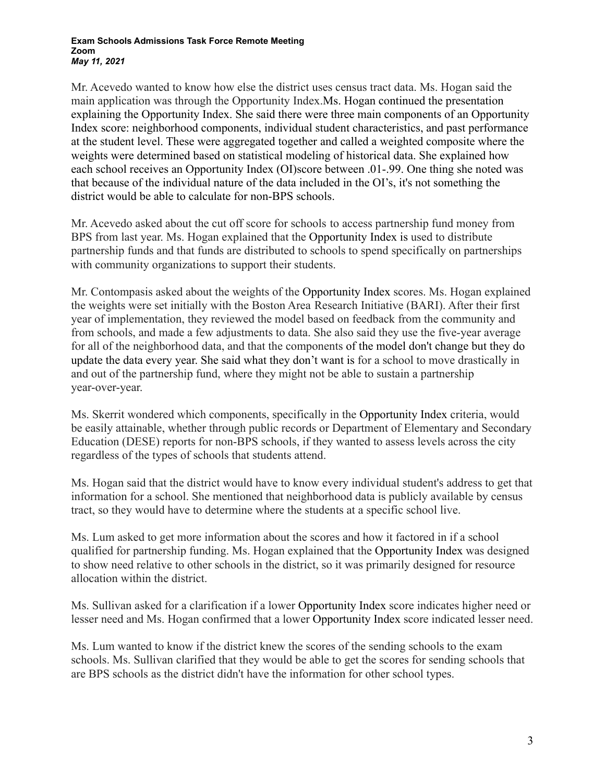Mr. Acevedo wanted to know how else the district uses census tract data. Ms. Hogan said the main application was through the Opportunity Index.Ms. Hogan continued the presentation explaining the Opportunity Index. She said there were three main components of an Opportunity Index score: neighborhood components, individual student characteristics, and past performance at the student level. These were aggregated together and called a weighted composite where the weights were determined based on statistical modeling of historical data. She explained how each school receives an Opportunity Index (OI)score between .01-.99. One thing she noted was that because of the individual nature of the data included in the OI's, it's not something the district would be able to calculate for non-BPS schools.

Mr. Acevedo asked about the cut off score for schools to access partnership fund money from BPS from last year. Ms. Hogan explained that the Opportunity Index is used to distribute partnership funds and that funds are distributed to schools to spend specifically on partnerships with community organizations to support their students.

Mr. Contompasis asked about the weights of the Opportunity Index scores. Ms. Hogan explained the weights were set initially with the Boston Area Research Initiative (BARI). After their first year of implementation, they reviewed the model based on feedback from the community and from schools, and made a few adjustments to data. She also said they use the five-year average for all of the neighborhood data, and that the components of the model don't change but they do update the data every year. She said what they don't want is for a school to move drastically in and out of the partnership fund, where they might not be able to sustain a partnership year-over-year.

Ms. Skerrit wondered which components, specifically in the Opportunity Index criteria, would be easily attainable, whether through public records or Department of Elementary and Secondary Education (DESE) reports for non-BPS schools, if they wanted to assess levels across the city regardless of the types of schools that students attend.

Ms. Hogan said that the district would have to know every individual student's address to get that information for a school. She mentioned that neighborhood data is publicly available by census tract, so they would have to determine where the students at a specific school live.

Ms. Lum asked to get more information about the scores and how it factored in if a school qualified for partnership funding. Ms. Hogan explained that the Opportunity Index was designed to show need relative to other schools in the district, so it was primarily designed for resource allocation within the district.

Ms. Sullivan asked for a clarification if a lower Opportunity Index score indicates higher need or lesser need and Ms. Hogan confirmed that a lower Opportunity Index score indicated lesser need.

Ms. Lum wanted to know if the district knew the scores of the sending schools to the exam schools. Ms. Sullivan clarified that they would be able to get the scores for sending schools that are BPS schools as the district didn't have the information for other school types.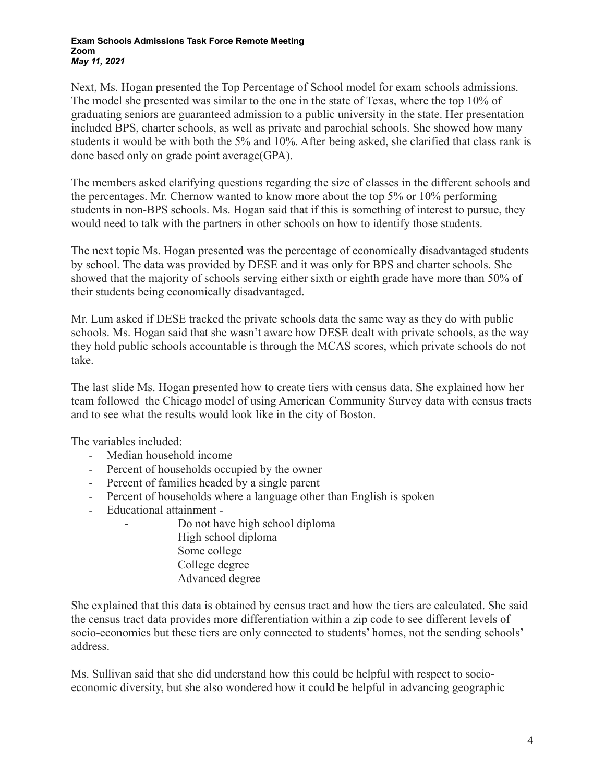Next, Ms. Hogan presented the Top Percentage of School model for exam schools admissions. The model she presented was similar to the one in the state of Texas, where the top 10% of graduating seniors are guaranteed admission to a public university in the state. Her presentation included BPS, charter schools, as well as private and parochial schools. She showed how many students it would be with both the 5% and 10%. After being asked, she clarified that class rank is done based only on grade point average(GPA).

The members asked clarifying questions regarding the size of classes in the different schools and the percentages. Mr. Chernow wanted to know more about the top 5% or 10% performing students in non-BPS schools. Ms. Hogan said that if this is something of interest to pursue, they would need to talk with the partners in other schools on how to identify those students.

The next topic Ms. Hogan presented was the percentage of economically disadvantaged students by school. The data was provided by DESE and it was only for BPS and charter schools. She showed that the majority of schools serving either sixth or eighth grade have more than 50% of their students being economically disadvantaged.

Mr. Lum asked if DESE tracked the private schools data the same way as they do with public schools. Ms. Hogan said that she wasn't aware how DESE dealt with private schools, as the way they hold public schools accountable is through the MCAS scores, which private schools do not take.

The last slide Ms. Hogan presented how to create tiers with census data. She explained how her team followed the Chicago model of using American Community Survey data with census tracts and to see what the results would look like in the city of Boston.

The variables included:

- Median household income
- Percent of households occupied by the owner
- Percent of families headed by a single parent
- Percent of households where a language other than English is spoken
- Educational attainment
	- Do not have high school diploma High school diploma Some college College degree Advanced degree

She explained that this data is obtained by census tract and how the tiers are calculated. She said the census tract data provides more differentiation within a zip code to see different levels of socio-economics but these tiers are only connected to students' homes, not the sending schools' address.

Ms. Sullivan said that she did understand how this could be helpful with respect to socioeconomic diversity, but she also wondered how it could be helpful in advancing geographic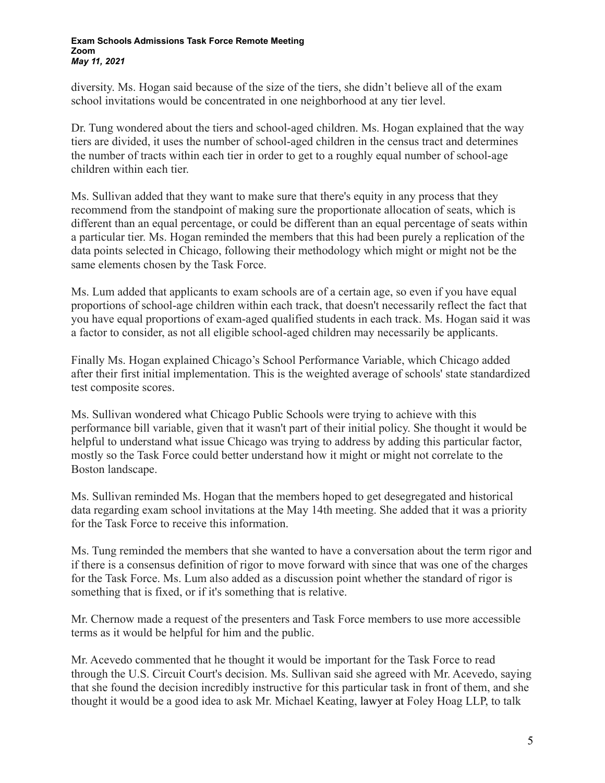diversity. Ms. Hogan said because of the size of the tiers, she didn't believe all of the exam school invitations would be concentrated in one neighborhood at any tier level.

Dr. Tung wondered about the tiers and school-aged children. Ms. Hogan explained that the way tiers are divided, it uses the number of school-aged children in the census tract and determines the number of tracts within each tier in order to get to a roughly equal number of school-age children within each tier.

Ms. Sullivan added that they want to make sure that there's equity in any process that they recommend from the standpoint of making sure the proportionate allocation of seats, which is different than an equal percentage, or could be different than an equal percentage of seats within a particular tier. Ms. Hogan reminded the members that this had been purely a replication of the data points selected in Chicago, following their methodology which might or might not be the same elements chosen by the Task Force.

Ms. Lum added that applicants to exam schools are of a certain age, so even if you have equal proportions of school-age children within each track, that doesn't necessarily reflect the fact that you have equal proportions of exam-aged qualified students in each track. Ms. Hogan said it was a factor to consider, as not all eligible school-aged children may necessarily be applicants.

Finally Ms. Hogan explained Chicago's School Performance Variable, which Chicago added after their first initial implementation. This is the weighted average of schools' state standardized test composite scores.

Ms. Sullivan wondered what Chicago Public Schools were trying to achieve with this performance bill variable, given that it wasn't part of their initial policy. She thought it would be helpful to understand what issue Chicago was trying to address by adding this particular factor, mostly so the Task Force could better understand how it might or might not correlate to the Boston landscape.

Ms. Sullivan reminded Ms. Hogan that the members hoped to get desegregated and historical data regarding exam school invitations at the May 14th meeting. She added that it was a priority for the Task Force to receive this information.

Ms. Tung reminded the members that she wanted to have a conversation about the term rigor and if there is a consensus definition of rigor to move forward with since that was one of the charges for the Task Force. Ms. Lum also added as a discussion point whether the standard of rigor is something that is fixed, or if it's something that is relative.

Mr. Chernow made a request of the presenters and Task Force members to use more accessible terms as it would be helpful for him and the public.

Mr. Acevedo commented that he thought it would be important for the Task Force to read through the U.S. Circuit Court's decision. Ms. Sullivan said she agreed with Mr. Acevedo, saying that she found the decision incredibly instructive for this particular task in front of them, and she thought it would be a good idea to ask Mr. Michael Keating, lawyer at Foley Hoag LLP, to talk